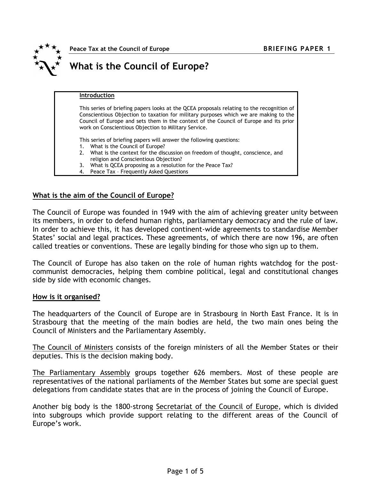

Peace Tax at the Council of Europe **BRIEFING PAPER 1** 

# What is the Council of Europe?

#### Introduction

This series of briefing papers looks at the QCEA proposals relating to the recognition of Conscientious Objection to taxation for military purposes which we are making to the Council of Europe and sets them in the context of the Council of Europe and its prior work on Conscientious Objection to Military Service.

This series of briefing papers will answer the following questions:

- 1. What is the Council of Europe?
- 2. What is the context for the discussion on freedom of thought, conscience, and religion and Conscientious Objection?
- 3. What is QCEA proposing as a resolution for the Peace Tax?
- 4. Peace Tax Frequently Asked Questions

#### What is the aim of the Council of Europe?

The Council of Europe was founded in 1949 with the aim of achieving greater unity between its members, in order to defend human rights, parliamentary democracy and the rule of law. In order to achieve this, it has developed continent-wide agreements to standardise Member States' social and legal practices. These agreements, of which there are now 196, are often called treaties or conventions. These are legally binding for those who sign up to them.

The Council of Europe has also taken on the role of human rights watchdog for the postcommunist democracies, helping them combine political, legal and constitutional changes side by side with economic changes.

#### How is it organised?

The headquarters of the Council of Europe are in Strasbourg in North East France. It is in Strasbourg that the meeting of the main bodies are held, the two main ones being the Council of Ministers and the Parliamentary Assembly.

The Council of Ministers consists of the foreign ministers of all the Member States or their deputies. This is the decision making body.

The Parliamentary Assembly groups together 626 members. Most of these people are representatives of the national parliaments of the Member States but some are special guest delegations from candidate states that are in the process of joining the Council of Europe.

Another big body is the 1800-strong Secretariat of the Council of Europe, which is divided into subgroups which provide support relating to the different areas of the Council of Europe's work.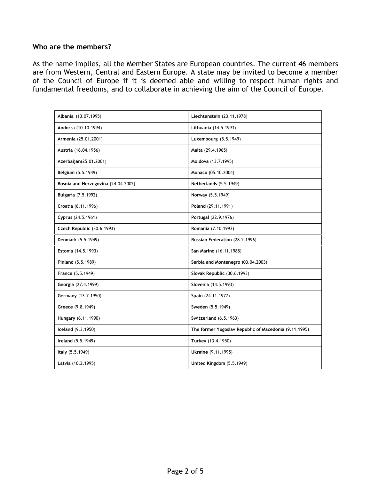## Who are the members?

As the name implies, all the Member States are European countries. The current 46 members are from Western, Central and Eastern Europe. A state may be invited to become a member of the Council of Europe if it is deemed able and willing to respect human rights and fundamental freedoms, and to collaborate in achieving the aim of the Council of Europe.

| Albania (13.07.1995)                | Liechtenstein (23.11.1978)                            |
|-------------------------------------|-------------------------------------------------------|
| Andorra (10.10.1994)                | Lithuania (14.5.1993)                                 |
| Armenia (25.01.2001)                | Luxembourg (5.5.1949)                                 |
| Austria (16.04.1956)                | Malta (29.4.1965)                                     |
| Azerbaijan(25.01.2001)              | Moldova (13.7.1995)                                   |
| Belgium (5.5.1949)                  | Monaco (05.10.2004)                                   |
| Bosnia and Herzegovina (24.04.2002) | Netherlands (5.5.1949)                                |
| <b>Bulgaria</b> (7.5.1992)          | Norway (5.5.1949)                                     |
| Croatia (6.11.1996)                 | Poland (29.11.1991)                                   |
| Cyprus (24.5.1961)                  | Portugal (22.9.1976)                                  |
| Czech Republic (30.6.1993)          | Romania (7.10.1993)                                   |
| Denmark (5.5.1949)                  | Russian Federation (28.2.1996)                        |
| Estonia (14.5.1993)                 | San Marino (16.11.1988)                               |
| Finland (5.5.1989)                  | Serbia and Montenegro (03.04.2003)                    |
| France (5.5.1949)                   | Slovak Republic (30.6.1993)                           |
| Georgia (27.4.1999)                 | Slovenia (14.5.1993)                                  |
| Germany (13.7.1950)                 | Spain (24.11.1977)                                    |
| Greece (9.8.1949)                   | Sweden (5.5.1949)                                     |
| Hungary (6.11.1990)                 | Switzerland (6.5.1963)                                |
| Iceland (9.3.1950)                  | The former Yugoslav Republic of Macedonia (9.11.1995) |
| Ireland (5.5.1949)                  | Turkey (13.4.1950)                                    |
| Italy (5.5.1949)                    | Ukraine (9.11.1995)                                   |
| Latvia (10.2.1995)                  | United Kingdom (5.5.1949)                             |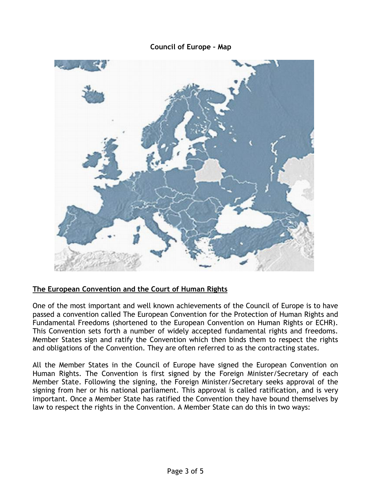## Council of Europe – Map



## The European Convention and the Court of Human Rights

One of the most important and well known achievements of the Council of Europe is to have passed a convention called The European Convention for the Protection of Human Rights and Fundamental Freedoms (shortened to the European Convention on Human Rights or ECHR). This Convention sets forth a number of widely accepted fundamental rights and freedoms. Member States sign and ratify the Convention which then binds them to respect the rights and obligations of the Convention. They are often referred to as the contracting states.

All the Member States in the Council of Europe have signed the European Convention on Human Rights. The Convention is first signed by the Foreign Minister/Secretary of each Member State. Following the signing, the Foreign Minister/Secretary seeks approval of the signing from her or his national parliament. This approval is called ratification, and is very important. Once a Member State has ratified the Convention they have bound themselves by law to respect the rights in the Convention. A Member State can do this in two ways: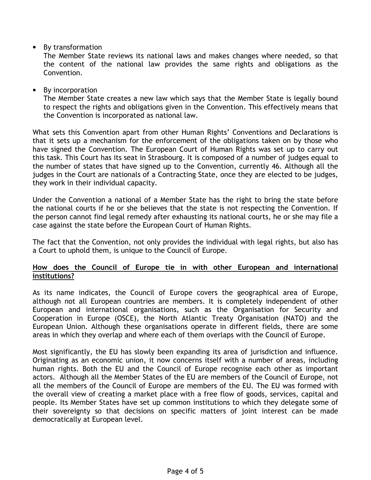• By transformation

The Member State reviews its national laws and makes changes where needed, so that the content of the national law provides the same rights and obligations as the Convention.

• By incorporation

The Member State creates a new law which says that the Member State is legally bound to respect the rights and obligations given in the Convention. This effectively means that the Convention is incorporated as national law.

What sets this Convention apart from other Human Rights' Conventions and Declarations is that it sets up a mechanism for the enforcement of the obligations taken on by those who have signed the Convention. The European Court of Human Rights was set up to carry out this task. This Court has its seat in Strasbourg. It is composed of a number of judges equal to the number of states that have signed up to the Convention, currently 46. Although all the judges in the Court are nationals of a Contracting State, once they are elected to be judges, they work in their individual capacity.

Under the Convention a national of a Member State has the right to bring the state before the national courts if he or she believes that the state is not respecting the Convention. If the person cannot find legal remedy after exhausting its national courts, he or she may file a case against the state before the European Court of Human Rights.

The fact that the Convention, not only provides the individual with legal rights, but also has a Court to uphold them, is unique to the Council of Europe.

## How does the Council of Europe tie in with other European and international institutions?

As its name indicates, the Council of Europe covers the geographical area of Europe, although not all European countries are members. It is completely independent of other European and international organisations, such as the Organisation for Security and Cooperation in Europe (OSCE), the North Atlantic Treaty Organisation (NATO) and the European Union. Although these organisations operate in different fields, there are some areas in which they overlap and where each of them overlaps with the Council of Europe.

Most significantly, the EU has slowly been expanding its area of jurisdiction and influence. Originating as an economic union, it now concerns itself with a number of areas, including human rights. Both the EU and the Council of Europe recognise each other as important actors. Although all the Member States of the EU are members of the Council of Europe, not all the members of the Council of Europe are members of the EU. The EU was formed with the overall view of creating a market place with a free flow of goods, services, capital and people. Its Member States have set up common institutions to which they delegate some of their sovereignty so that decisions on specific matters of joint interest can be made democratically at European level.